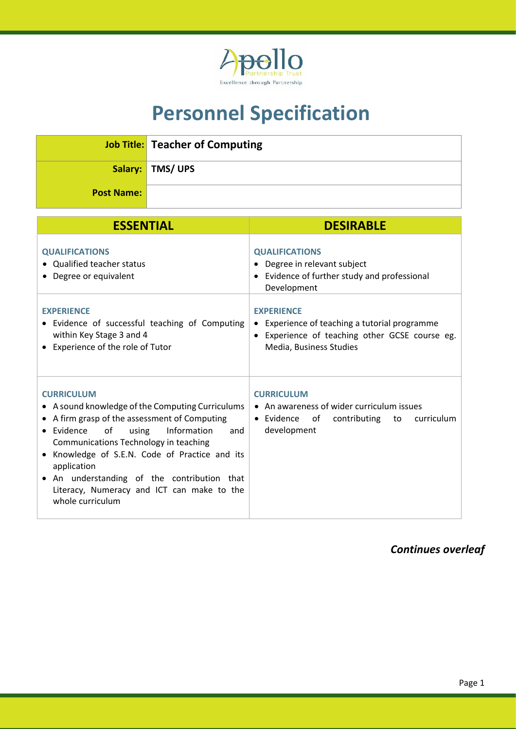

## **Personnel Specification**

|                   | <b>Job Title:</b> Teacher of Computing |
|-------------------|----------------------------------------|
|                   | Salary:   TMS/ UPS                     |
| <b>Post Name:</b> |                                        |

| <b>ESSENTIAL</b>                                                                                                                                                                                                                                                                                                                                                                                   | <b>DESIRABLE</b>                                                                                                                                              |
|----------------------------------------------------------------------------------------------------------------------------------------------------------------------------------------------------------------------------------------------------------------------------------------------------------------------------------------------------------------------------------------------------|---------------------------------------------------------------------------------------------------------------------------------------------------------------|
| <b>QUALIFICATIONS</b><br>• Qualified teacher status<br>• Degree or equivalent                                                                                                                                                                                                                                                                                                                      | <b>QUALIFICATIONS</b><br>Degree in relevant subject<br>Evidence of further study and professional<br>$\bullet$<br>Development                                 |
| <b>EXPERIENCE</b><br>• Evidence of successful teaching of Computing<br>within Key Stage 3 and 4<br>• Experience of the role of Tutor                                                                                                                                                                                                                                                               | <b>EXPERIENCE</b><br>Experience of teaching a tutorial programme<br>٠<br>Experience of teaching other GCSE course eg.<br>$\bullet$<br>Media, Business Studies |
| <b>CURRICULUM</b><br>• A sound knowledge of the Computing Curriculums<br>• A firm grasp of the assessment of Computing<br>• Evidence<br>of<br>Information<br>using<br>and<br>Communications Technology in teaching<br>Knowledge of S.E.N. Code of Practice and its<br>application<br>• An understanding of the contribution that<br>Literacy, Numeracy and ICT can make to the<br>whole curriculum | <b>CURRICULUM</b><br>• An awareness of wider curriculum issues<br>$\bullet$ Evidence<br>of<br>contributing to<br>curriculum<br>development                    |

*Continues overleaf*